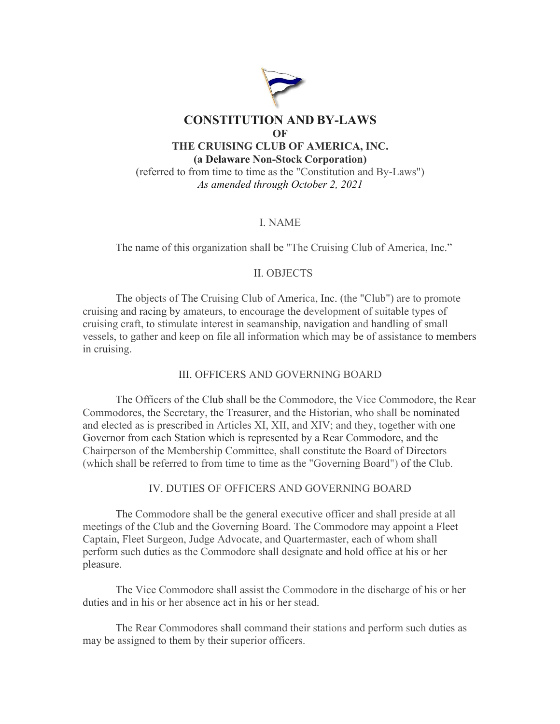

# I. NAME

The name of this organization shall be "The Cruising Club of America, Inc."

### II. OBJECTS

The objects of The Cruising Club of America, Inc. (the "Club") are to promote cruising and racing by amateurs, to encourage the development of suitable types of cruising craft, to stimulate interest in seamanship, navigation and handling of small vessels, to gather and keep on file all information which may be of assistance to members in cruising.

## III. OFFICERS AND GOVERNING BOARD

The Officers of the Club shall be the Commodore, the Vice Commodore, the Rear Commodores, the Secretary, the Treasurer, and the Historian, who shall be nominated and elected as is prescribed in Articles XI, XII, and XIV; and they, together with one Governor from each Station which is represented by a Rear Commodore, and the Chairperson of the Membership Committee, shall constitute the Board of Directors (which shall be referred to from time to time as the "Governing Board") of the Club.

## IV. DUTIES OF OFFICERS AND GOVERNING BOARD

The Commodore shall be the general executive officer and shall preside at all meetings of the Club and the Governing Board. The Commodore may appoint a Fleet Captain, Fleet Surgeon, Judge Advocate, and Quartermaster, each of whom shall perform such duties as the Commodore shall designate and hold office at his or her pleasure.

The Vice Commodore shall assist the Commodore in the discharge of his or her duties and in his or her absence act in his or her stead.

The Rear Commodores shall command their stations and perform such duties as may be assigned to them by their superior officers.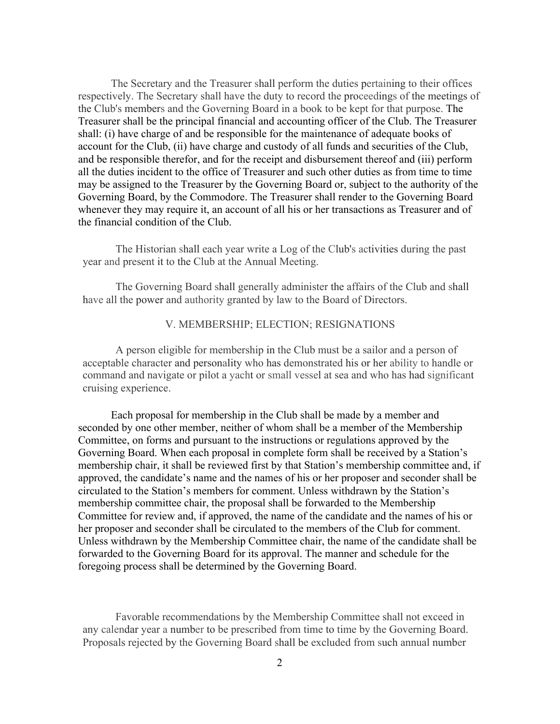The Secretary and the Treasurer shall perform the duties pertaining to their offices respectively. The Secretary shall have the duty to record the proceedings of the meetings of the Club's members and the Governing Board in a book to be kept for that purpose. The Treasurer shall be the principal financial and accounting officer of the Club. The Treasurer shall: (i) have charge of and be responsible for the maintenance of adequate books of account for the Club, (ii) have charge and custody of all funds and securities of the Club, and be responsible therefor, and for the receipt and disbursement thereof and (iii) perform all the duties incident to the office of Treasurer and such other duties as from time to time may be assigned to the Treasurer by the Governing Board or, subject to the authority of the Governing Board, by the Commodore. The Treasurer shall render to the Governing Board whenever they may require it, an account of all his or her transactions as Treasurer and of the financial condition of the Club.

The Historian shall each year write a Log of the Club's activities during the past year and present it to the Club at the Annual Meeting.

The Governing Board shall generally administer the affairs of the Club and shall have all the power and authority granted by law to the Board of Directors.

### V. MEMBERSHIP; ELECTION; RESIGNATIONS

A person eligible for membership in the Club must be a sailor and a person of acceptable character and personality who has demonstrated his or her ability to handle or command and navigate or pilot a yacht or small vessel at sea and who has had significant cruising experience.

Each proposal for membership in the Club shall be made by a member and seconded by one other member, neither of whom shall be a member of the Membership Committee, on forms and pursuant to the instructions or regulations approved by the Governing Board. When each proposal in complete form shall be received by a Station's membership chair, it shall be reviewed first by that Station's membership committee and, if approved, the candidate's name and the names of his or her proposer and seconder shall be circulated to the Station's members for comment. Unless withdrawn by the Station's membership committee chair, the proposal shall be forwarded to the Membership Committee for review and, if approved, the name of the candidate and the names of his or her proposer and seconder shall be circulated to the members of the Club for comment. Unless withdrawn by the Membership Committee chair, the name of the candidate shall be forwarded to the Governing Board for its approval. The manner and schedule for the foregoing process shall be determined by the Governing Board.

Favorable recommendations by the Membership Committee shall not exceed in any calendar year a number to be prescribed from time to time by the Governing Board. Proposals rejected by the Governing Board shall be excluded from such annual number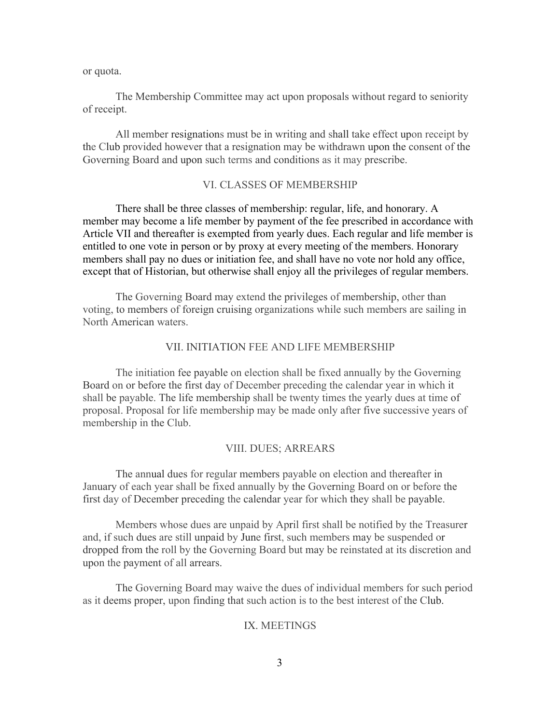or quota.

The Membership Committee may act upon proposals without regard to seniority of receipt.

All member resignations must be in writing and shall take effect upon receipt by the Club provided however that a resignation may be withdrawn upon the consent of the Governing Board and upon such terms and conditions as it may prescribe.

#### VI. CLASSES OF MEMBERSHIP

There shall be three classes of membership: regular, life, and honorary. A member may become a life member by payment of the fee prescribed in accordance with Article VII and thereafter is exempted from yearly dues. Each regular and life member is entitled to one vote in person or by proxy at every meeting of the members. Honorary members shall pay no dues or initiation fee, and shall have no vote nor hold any office, except that of Historian, but otherwise shall enjoy all the privileges of regular members.

The Governing Board may extend the privileges of membership, other than voting, to members of foreign cruising organizations while such members are sailing in North American waters.

### VII. INITIATION FEE AND LIFE MEMBERSHIP

The initiation fee payable on election shall be fixed annually by the Governing Board on or before the first day of December preceding the calendar year in which it shall be payable. The life membership shall be twenty times the yearly dues at time of proposal. Proposal for life membership may be made only after five successive years of membership in the Club.

### VIII. DUES; ARREARS

The annual dues for regular members payable on election and thereafter in January of each year shall be fixed annually by the Governing Board on or before the first day of December preceding the calendar year for which they shall be payable.

Members whose dues are unpaid by April first shall be notified by the Treasurer and, if such dues are still unpaid by June first, such members may be suspended or dropped from the roll by the Governing Board but may be reinstated at its discretion and upon the payment of all arrears.

The Governing Board may waive the dues of individual members for such period as it deems proper, upon finding that such action is to the best interest of the Club.

### IX. MEETINGS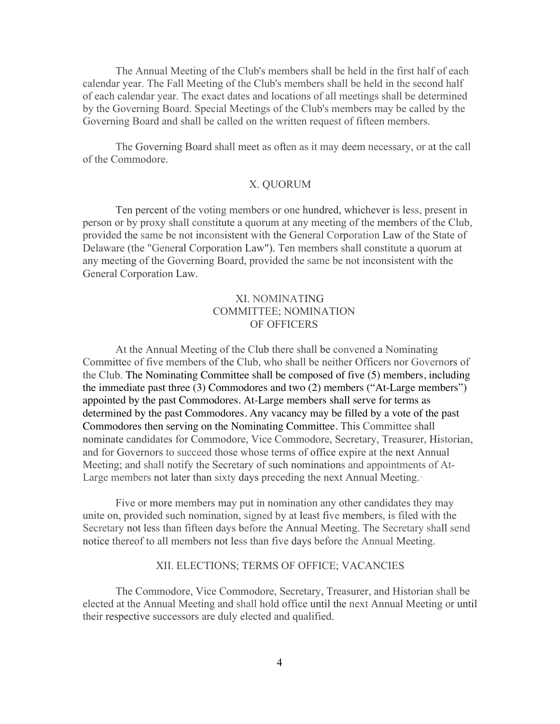The Annual Meeting of the Club's members shall be held in the first half of each calendar year. The Fall Meeting of the Club's members shall be held in the second half of each calendar year. The exact dates and locations of all meetings shall be determined by the Governing Board. Special Meetings of the Club's members may be called by the Governing Board and shall be called on the written request of fifteen members.

The Governing Board shall meet as often as it may deem necessary, or at the call of the Commodore.

## X. QUORUM

Ten percent of the voting members or one hundred, whichever is less, present in person or by proxy shall constitute a quorum at any meeting of the members of the Club, provided the same be not inconsistent with the General Corporation Law of the State of Delaware (the "General Corporation Law"). Ten members shall constitute a quorum at any meeting of the Governing Board, provided the same be not inconsistent with the General Corporation Law.

# XI. NOMINATING COMMITTEE; NOMINATION OF OFFICERS

At the Annual Meeting of the Club there shall be convened a Nominating Committee of five members of the Club, who shall be neither Officers nor Governors of the Club. The Nominating Committee shall be composed of five (5) members, including the immediate past three (3) Commodores and two (2) members ("At-Large members") appointed by the past Commodores. At-Large members shall serve for terms as determined by the past Commodores. Any vacancy may be filled by a vote of the past Commodores then serving on the Nominating Committee. This Committee shall nominate candidates for Commodore, Vice Commodore, Secretary, Treasurer, Historian, and for Governors to succeed those whose terms of office expire at the next Annual Meeting; and shall notify the Secretary of such nominations and appointments of At-Large members not later than sixty days preceding the next Annual Meeting.·

Five or more members may put in nomination any other candidates they may unite on, provided such nomination, signed by at least five members, is filed with the Secretary not less than fifteen days before the Annual Meeting. The Secretary shall send notice thereof to all members not less than five days before the Annual Meeting.

### XII. ELECTIONS; TERMS OF OFFICE; VACANCIES

The Commodore, Vice Commodore, Secretary, Treasurer, and Historian shall be elected at the Annual Meeting and shall hold office until the next Annual Meeting or until their respective successors are duly elected and qualified.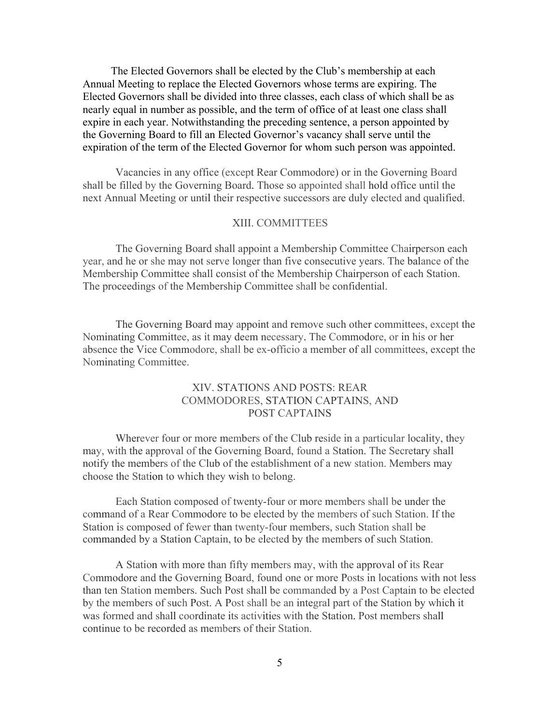The Elected Governors shall be elected by the Club's membership at each Annual Meeting to replace the Elected Governors whose terms are expiring. The Elected Governors shall be divided into three classes, each class of which shall be as nearly equal in number as possible, and the term of office of at least one class shall expire in each year. Notwithstanding the preceding sentence, a person appointed by the Governing Board to fill an Elected Governor's vacancy shall serve until the expiration of the term of the Elected Governor for whom such person was appointed.

Vacancies in any office (except Rear Commodore) or in the Governing Board shall be filled by the Governing Board. Those so appointed shall hold office until the next Annual Meeting or until their respective successors are duly elected and qualified.

## XIII. COMMITTEES

The Governing Board shall appoint a Membership Committee Chairperson each year, and he or she may not serve longer than five consecutive years. The balance of the Membership Committee shall consist of the Membership Chairperson of each Station. The proceedings of the Membership Committee shall be confidential.

The Governing Board may appoint and remove such other committees, except the Nominating Committee, as it may deem necessary. The Commodore, or in his or her absence the Vice Commodore, shall be ex-officio a member of all committees, except the Nominating Committee.

# XIV. STATIONS AND POSTS: REAR COMMODORES, STATION CAPTAINS, AND POST CAPTAINS

Wherever four or more members of the Club reside in a particular locality, they may, with the approval of the Governing Board, found a Station. The Secretary shall notify the members of the Club of the establishment of a new station. Members may choose the Station to which they wish to belong.

Each Station composed of twenty-four or more members shall be under the command of a Rear Commodore to be elected by the members of such Station. If the Station is composed of fewer than twenty-four members, such Station shall be commanded by a Station Captain, to be elected by the members of such Station.

A Station with more than fifty members may, with the approval of its Rear Commodore and the Governing Board, found one or more Posts in locations with not less than ten Station members. Such Post shall be commanded by a Post Captain to be elected by the members of such Post. A Post shall be an integral part of the Station by which it was formed and shall coordinate its activities with the Station. Post members shall continue to be recorded as members of their Station.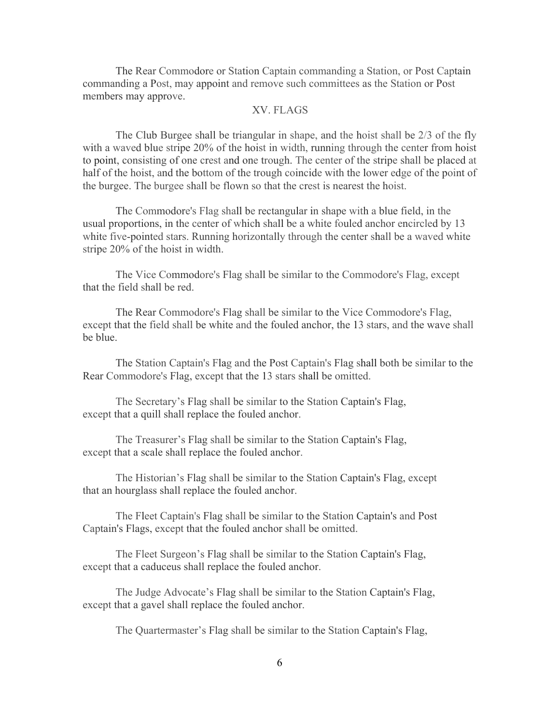The Rear Commodore or Station Captain commanding a Station, or Post Captain commanding a Post, may appoint and remove such committees as the Station or Post members may approve.

## XV. FLAGS

The Club Burgee shall be triangular in shape, and the hoist shall be 2/3 of the fly with a waved blue stripe 20% of the hoist in width, running through the center from hoist to point, consisting of one crest and one trough. The center of the stripe shall be placed at half of the hoist, and the bottom of the trough coincide with the lower edge of the point of the burgee. The burgee shall be flown so that the crest is nearest the hoist.

The Commodore's Flag shall be rectangular in shape with a blue field, in the usual proportions, in the center of which shall be a white fouled anchor encircled by 13 white five-pointed stars. Running horizontally through the center shall be a waved white stripe 20% of the hoist in width.

The Vice Commodore's Flag shall be similar to the Commodore's Flag, except that the field shall be red.

The Rear Commodore's Flag shall be similar to the Vice Commodore's Flag, except that the field shall be white and the fouled anchor, the 13 stars, and the wave shall be blue.

The Station Captain's Flag and the Post Captain's Flag shall both be similar to the Rear Commodore's Flag, except that the 13 stars shall be omitted.

The Secretary's Flag shall be similar to the Station Captain's Flag, except that a quill shall replace the fouled anchor.

The Treasurer's Flag shall be similar to the Station Captain's Flag, except that a scale shall replace the fouled anchor.

The Historian's Flag shall be similar to the Station Captain's Flag, except that an hourglass shall replace the fouled anchor.

The Fleet Captain's Flag shall be similar to the Station Captain's and Post Captain's Flags, except that the fouled anchor shall be omitted.

The Fleet Surgeon's Flag shall be similar to the Station Captain's Flag, except that a caduceus shall replace the fouled anchor.

The Judge Advocate's Flag shall be similar to the Station Captain's Flag, except that a gavel shall replace the fouled anchor.

The Quartermaster's Flag shall be similar to the Station Captain's Flag,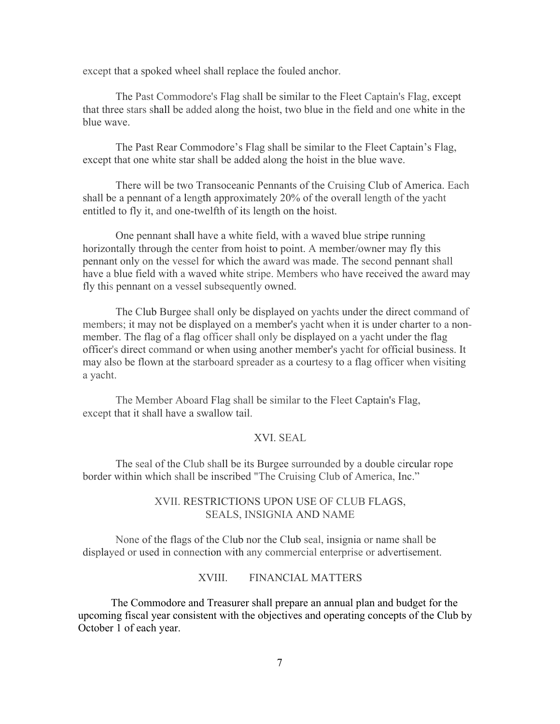except that a spoked wheel shall replace the fouled anchor.

The Past Commodore's Flag shall be similar to the Fleet Captain's Flag, except that three stars shall be added along the hoist, two blue in the field and one white in the blue wave.

The Past Rear Commodore's Flag shall be similar to the Fleet Captain's Flag, except that one white star shall be added along the hoist in the blue wave.

There will be two Transoceanic Pennants of the Cruising Club of America. Each shall be a pennant of a length approximately 20% of the overall length of the yacht entitled to fly it, and one-twelfth of its length on the hoist.

One pennant shall have a white field, with a waved blue stripe running horizontally through the center from hoist to point. A member/owner may fly this pennant only on the vessel for which the award was made. The second pennant shall have a blue field with a waved white stripe. Members who have received the award may fly this pennant on a vessel subsequently owned.

The Club Burgee shall only be displayed on yachts under the direct command of members; it may not be displayed on a member's yacht when it is under charter to a nonmember. The flag of a flag officer shall only be displayed on a yacht under the flag officer's direct command or when using another member's yacht for official business. It may also be flown at the starboard spreader as a courtesy to a flag officer when visiting a yacht.

The Member Aboard Flag shall be similar to the Fleet Captain's Flag, except that it shall have a swallow tail.

# XVI. SEAL

The seal of the Club shall be its Burgee surrounded by a double circular rope border within which shall be inscribed "The Cruising Club of America, Inc."

# XVII. RESTRICTIONS UPON USE OF CLUB FLAGS, SEALS, INSIGNIA AND NAME

None of the flags of the Club nor the Club seal, insignia or name shall be displayed or used in connection with any commercial enterprise or advertisement.

XVIII. FINANCIAL MATTERS

The Commodore and Treasurer shall prepare an annual plan and budget for the upcoming fiscal year consistent with the objectives and operating concepts of the Club by October 1 of each year.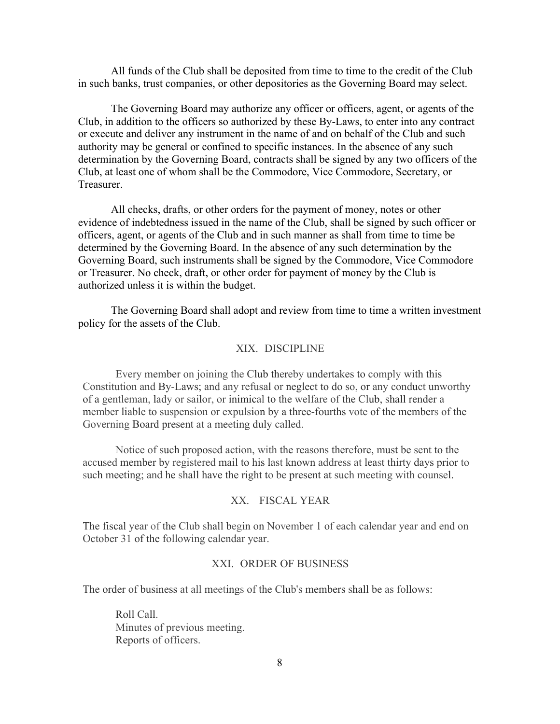All funds of the Club shall be deposited from time to time to the credit of the Club in such banks, trust companies, or other depositories as the Governing Board may select.

The Governing Board may authorize any officer or officers, agent, or agents of the Club, in addition to the officers so authorized by these By-Laws, to enter into any contract or execute and deliver any instrument in the name of and on behalf of the Club and such authority may be general or confined to specific instances. In the absence of any such determination by the Governing Board, contracts shall be signed by any two officers of the Club, at least one of whom shall be the Commodore, Vice Commodore, Secretary, or Treasurer.

All checks, drafts, or other orders for the payment of money, notes or other evidence of indebtedness issued in the name of the Club, shall be signed by such officer or officers, agent, or agents of the Club and in such manner as shall from time to time be determined by the Governing Board. In the absence of any such determination by the Governing Board, such instruments shall be signed by the Commodore, Vice Commodore or Treasurer. No check, draft, or other order for payment of money by the Club is authorized unless it is within the budget.

The Governing Board shall adopt and review from time to time a written investment policy for the assets of the Club.

## XIX. DISCIPLINE

Every member on joining the Club thereby undertakes to comply with this Constitution and By-Laws; and any refusal or neglect to do so, or any conduct unworthy of a gentleman, lady or sailor, or inimical to the welfare of the Club, shall render a member liable to suspension or expulsion by a three-fourths vote of the members of the Governing Board present at a meeting duly called.

Notice of such proposed action, with the reasons therefore, must be sent to the accused member by registered mail to his last known address at least thirty days prior to such meeting; and he shall have the right to be present at such meeting with counsel.

# XX. FISCAL YEAR

The fiscal year of the Club shall begin on November 1 of each calendar year and end on October 31 of the following calendar year.

## XXI. ORDER OF BUSINESS

The order of business at all meetings of the Club's members shall be as follows:

Roll Call. Minutes of previous meeting. Reports of officers.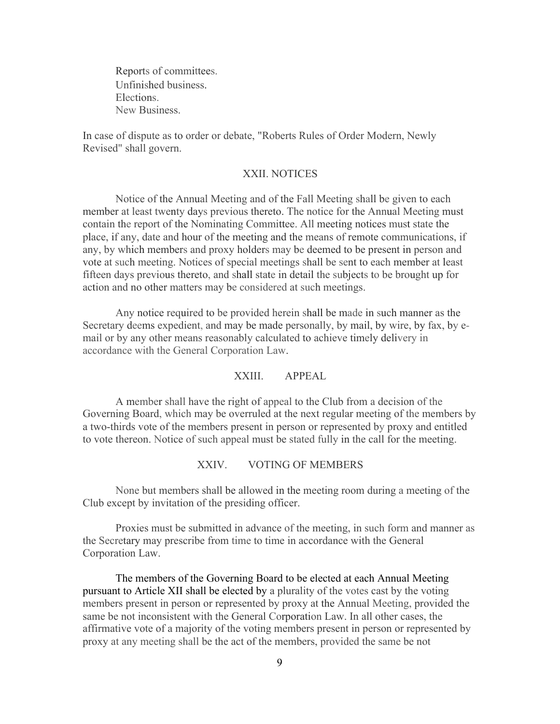Reports of committees. Unfinished business. Elections. New Business.

In case of dispute as to order or debate, "Roberts Rules of Order Modern, Newly Revised" shall govern.

### XXII. NOTICES

Notice of the Annual Meeting and of the Fall Meeting shall be given to each member at least twenty days previous thereto. The notice for the Annual Meeting must contain the report of the Nominating Committee. All meeting notices must state the place, if any, date and hour of the meeting and the means of remote communications, if any, by which members and proxy holders may be deemed to be present in person and vote at such meeting. Notices of special meetings shall be sent to each member at least fifteen days previous thereto, and shall state in detail the subjects to be brought up for action and no other matters may be considered at such meetings.

Any notice required to be provided herein shall be made in such manner as the Secretary deems expedient, and may be made personally, by mail, by wire, by fax, by email or by any other means reasonably calculated to achieve timely delivery in accordance with the General Corporation Law.

# XXIII. APPEAL

A member shall have the right of appeal to the Club from a decision of the Governing Board, which may be overruled at the next regular meeting of the members by a two-thirds vote of the members present in person or represented by proxy and entitled to vote thereon. Notice of such appeal must be stated fully in the call for the meeting.

### XXIV. VOTING OF MEMBERS

None but members shall be allowed in the meeting room during a meeting of the Club except by invitation of the presiding officer.

Proxies must be submitted in advance of the meeting, in such form and manner as the Secretary may prescribe from time to time in accordance with the General Corporation Law.

The members of the Governing Board to be elected at each Annual Meeting pursuant to Article XII shall be elected by a plurality of the votes cast by the voting members present in person or represented by proxy at the Annual Meeting, provided the same be not inconsistent with the General Corporation Law. In all other cases, the affirmative vote of a majority of the voting members present in person or represented by proxy at any meeting shall be the act of the members, provided the same be not